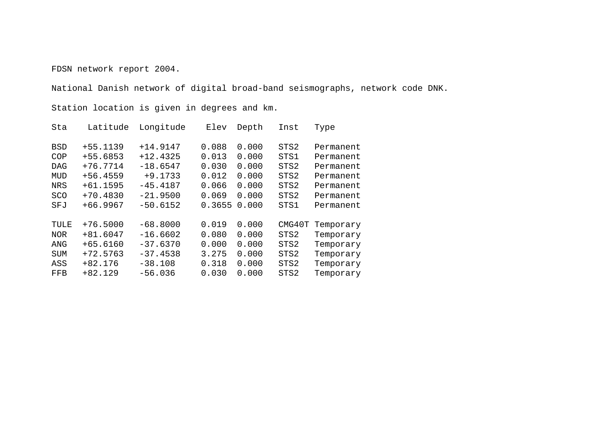FDSN network report 2004.

National Danish network of digital broad-band seismographs, network code DNK.

Station location is given in degrees and km.

| Sta        | Latitude   | Longitude  | Elev   | Depth | Inst   | Type      |
|------------|------------|------------|--------|-------|--------|-----------|
| <b>BSD</b> | +55.1139   | $+14.9147$ | 0.088  | 0.000 | STS2   | Permanent |
| COP        | +55.6853   | $+12.4325$ | 0.013  | 0.000 | STS1   | Permanent |
| <b>DAG</b> | $+76.7714$ | $-18.6547$ | 0.030  | 0.000 | STS2   | Permanent |
| MUD        | $+56.4559$ | $+9.1733$  | 0.012  | 0.000 | STS2   | Permanent |
| <b>NRS</b> | $+61.1595$ | $-45.4187$ | 0.066  | 0.000 | STS2   | Permanent |
| SCO        | $+70.4830$ | $-21.9500$ | 0.069  | 0.000 | STS2   | Permanent |
| SFJ        | $+66.9967$ | $-50.6152$ | 0.3655 | 0.000 | STS1   | Permanent |
| TULE       | $+76.5000$ | $-68.8000$ | 0.019  | 0.000 | CMG40T | Temporary |
| <b>NOR</b> | $+81.6047$ | $-16.6602$ | 0.080  | 0.000 | STS2   | Temporary |
| ANG        | +65.6160   | $-37.6370$ | 0.000  | 0.000 | STS2   | Temporary |
| <b>SUM</b> | $+72.5763$ | $-37.4538$ | 3.275  | 0.000 | STS2   | Temporary |
| ASS        | $+82.176$  | $-38.108$  | 0.318  | 0.000 | STS2   | Temporary |
| FFB        | $+82.129$  | $-56.036$  | 0.030  | 0.000 | STS2   | Temporary |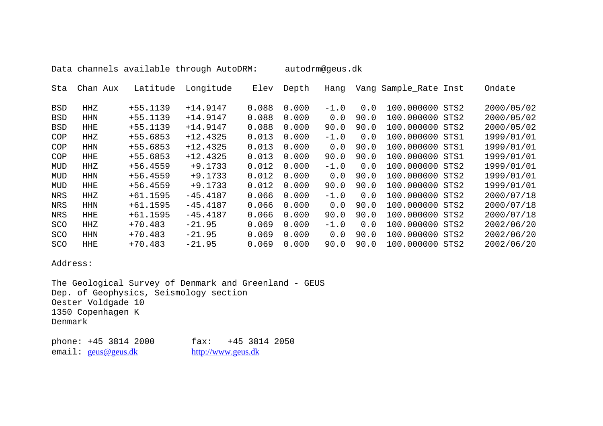Data channels available through AutoDRM: autodrm@geus.dk

| Sta        | Chan Aux   | Latitude   | Longitude  | Elev  | Depth | Hanq   |      | Vang Sample_Rate Inst |      | Ondate     |
|------------|------------|------------|------------|-------|-------|--------|------|-----------------------|------|------------|
| BSD        | HHZ        | $+55.1139$ | $+14.9147$ | 0.088 | 0.000 | $-1.0$ | 0.0  | 100.000000            | STS2 | 2000/05/02 |
| <b>BSD</b> | <b>HHN</b> | $+55.1139$ | $+14.9147$ | 0.088 | 0.000 | 0.0    | 90.0 | 100.000000 STS2       |      | 2000/05/02 |
| BSD        | <b>HHE</b> | $+55.1139$ | $+14.9147$ | 0.088 | 0.000 | 90.0   | 90.0 | 100.000000 STS2       |      | 2000/05/02 |
| COP        | HHZ        | $+55.6853$ | $+12.4325$ | 0.013 | 0.000 | $-1.0$ | 0.0  | 100.000000            | STS1 | 1999/01/01 |
| COP        | <b>HHN</b> | $+55.6853$ | $+12.4325$ | 0.013 | 0.000 | 0.0    | 90.0 | 100.000000 STS1       |      | 1999/01/01 |
| COP        | HHE        | +55.6853   | $+12.4325$ | 0.013 | 0.000 | 90.0   | 90.0 | 100.000000            | STS1 | 1999/01/01 |
| MUD        | HHZ        | $+56.4559$ | $+9.1733$  | 0.012 | 0.000 | $-1.0$ | 0.0  | 100.000000 STS2       |      | 1999/01/01 |
| MUD        | HHN        | $+56.4559$ | $+9.1733$  | 0.012 | 0.000 | 0.0    | 90.0 | 100.000000 STS2       |      | 1999/01/01 |
| MUD        | <b>HHE</b> | $+56.4559$ | $+9.1733$  | 0.012 | 0.000 | 90.0   | 90.0 | 100.000000 STS2       |      | 1999/01/01 |
| NRS        | HHZ        | $+61.1595$ | $-45.4187$ | 0.066 | 0.000 | $-1.0$ | 0.0  | 100.000000            | STS2 | 2000/07/18 |
| NRS        | <b>HHN</b> | $+61.1595$ | $-45.4187$ | 0.066 | 0.000 | 0.0    | 90.0 | 100.000000            | STS2 | 2000/07/18 |
| <b>NRS</b> | <b>HHE</b> | $+61.1595$ | $-45.4187$ | 0.066 | 0.000 | 90.0   | 90.0 | 100.000000            | STS2 | 2000/07/18 |
| SCO        | HHZ        | $+70.483$  | $-21.95$   | 0.069 | 0.000 | $-1.0$ | 0.0  | 100.000000 STS2       |      | 2002/06/20 |
| SCO        | HHN        | $+70.483$  | $-21.95$   | 0.069 | 0.000 | 0.0    | 90.0 | 100.000000 STS2       |      | 2002/06/20 |
| SCO        | <b>HHE</b> | $+70.483$  | $-21.95$   | 0.069 | 0.000 | 90.0   | 90.0 | 100.000000            | STS2 | 2002/06/20 |

Address:

The Geological Survey of Denmark and Greenland - GEUS Dep. of Geophysics, Seismology section Oester Voldgade 10 1350 Copenhagen K Denmark

email: geus[@geus.dk](mailto:geus@geus.dk) [http://www.geus.dk](http://www.geus.dk/)

phone: +45 3814 2000 fax: +45 3814 2050